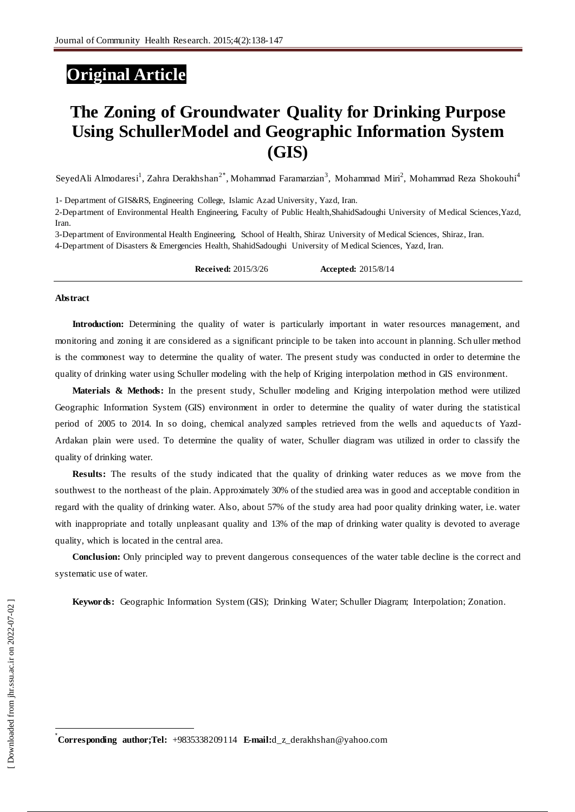## **Original Article**

# **The Zoning of Groundwater Quality for Drinking Purpose Using SchullerModel and Geographic Information System (GIS)**

SeyedAli Almodaresi<sup>1</sup>, Zahra Derakhshan<sup>2\*</sup>, Mohammad Faramarzian<sup>3</sup>, Mohammad Miri<sup>2</sup>, Mohammad Reza Shokouhi<sup>4</sup>

1- Department of GIS&RS, Engineering College, Islamic Azad University, Yazd, Iran.

2-Department of Environmental Health Engineering, Faculty of Public Health,ShahidSadoughi University of Medical Sciences,Yazd, Iran.

3-Department of Environmental Health Engineering, School of Health, Shiraz University of Medical Sciences, Shiraz, Iran. 4-Department of Disasters & Emergencies Health, ShahidSadoughi University of Medical Sciences, Yazd, Iran.

**Received:** 2015/3/26 **Accepted:** 2015/8/14

#### **Abstract**

**Introduction:** Determining the quality of water is particularly important in water resources management, and monitoring and zoning it are considered as a significant principle to be taken into account in planning. Sch uller method is the commonest way to determine the quality of water. The present study was conducted in order to determine the quality of drinking water using Schuller modeling with the help of Kriging interpolation method in GIS environment.

**Materials & Methods:** In the present study, Schuller modeling and Kriging interpolation method were utilized Geographic Information System (GIS) environment in order to determine the quality of water during the statistical period of 2005 to 2014. In so doing, chemical analyzed samples retrieved from the wells and aqueduc ts of Yazd-Ardakan plain were used. To determine the quality of water, Schuller diagram was utilized in order to classify the quality of drinking water.

**Results:** The results of the study indicated that the quality of drinking water reduces as we move from the southwest to the northeast of the plain. Approximately 30% of the studied area was in good and acceptable condition in regard with the quality of drinking water. Also, about 57% of the study area had poor quality drinking water, i.e. water with inappropriate and totally unpleasant quality and 13% of the map of drinking water quality is devoted to average quality, which is located in the central area.

**Conclusion:** Only principled way to prevent dangerous consequences of the water table decline is the correct and systematic use of water.

**Keywords:** Geographic Information System (GIS); Drinking Water; Schuller Diagram; Interpolation; Zonation.

 $\overline{a}$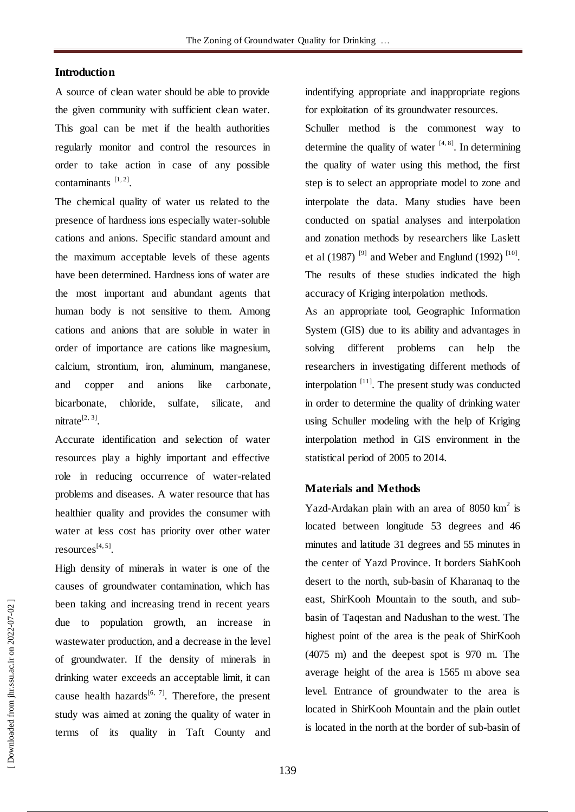## **Introduction**

A source of clean water should be able to provide the given community with sufficient clean water. This goal can be met if the health authorities regularly monitor and control the resources in order to take action in case of any possible contaminants  $[1, 2]$ .

The chemical quality of water us related to the presence of hardness ions especially water-soluble cations and anions. Specific standard amount and the maximum acceptable levels of these agents have been determined. Hardness ions of water are the most important and abundant agents that human body is not sensitive to them. Among cations and anions that are soluble in water in order of importance are cations like magnesium, calcium, strontium, iron, aluminum, manganese, and copper and anions like carbonate, bicarbonate, chloride, sulfate, silicate, and  $n$ itrate<sup>[2, 3]</sup>.

Accurate identification and selection of water resources play a highly important and effective role in reducing occurrence of water-related problems and diseases. A water resource that has healthier quality and provides the consumer with water at less cost has priority over other water resources<sup>[4, 5]</sup>.

High density of minerals in water is one of the causes of groundwater contamination, which has been taking and increasing trend in recent years due to population growth, an increase in wastewater production, and a decrease in the level of groundwater. If the density of minerals in drinking water exceeds an acceptable limit, it can cause health hazards<sup>[6, 7]</sup>. Therefore, the present study was aimed at zoning the quality of water in terms of its quality in Taft County and

indentifying appropriate and inappropriate regions for exploitation of its groundwater resources.

Schuller method is the commonest way to determine the quality of water  $[4, 8]$ . In determining the quality of water using this method, the first step is to select an appropriate model to zone and interpolate the data. Many studies have been conducted on spatial analyses and interpolation and zonation methods by researchers like Laslett et al (1987)<sup>[9]</sup> and Weber and Englund (1992)<sup>[10]</sup>. The results of these studies indicated the high accuracy of Kriging interpolation methods.

As an appropriate tool, Geographic Information System (GIS) due to its ability and advantages in solving different problems can help the researchers in investigating different methods of interpolation<sup>[11]</sup>. The present study was conducted in order to determine the quality of drinking water using Schuller modeling with the help of Kriging interpolation method in GIS environment in the statistical period of 2005 to 2014.

## **Materials and Methods**

Yazd-Ardakan plain with an area of  $8050 \text{ km}^2$  is located between longitude 53 degrees and 46 minutes and latitude 31 degrees and 55 minutes in the center of Yazd Province. It borders SiahKooh desert to the north, sub-basin of Kharanaq to the east, ShirKooh Mountain to the south, and subbasin of Taqestan and Nadushan to the west. The highest point of the area is the peak of ShirKooh (4075 m) and the deepest spot is 970 m. The average height of the area is 1565 m above sea level. Entrance of groundwater to the area is located in ShirKooh Mountain and the plain outlet is located in the north at the border of sub-basin of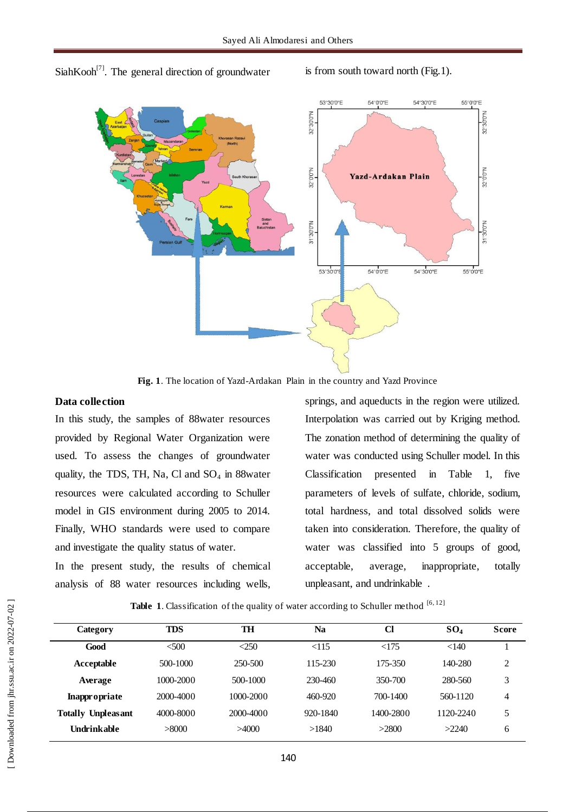SiahKooh<sup>[7]</sup>. The general direction of groundwater is from south toward north (Fig.1).



**Fig. 1**. The location of Yazd-Ardakan Plain in the country and Yazd Province

## **Data collection**

In this study, the samples of 88water resources provided by Regional Water Organization were used. To assess the changes of groundwater quality, the TDS, TH, Na, Cl and  $SO_4$  in 88water resources were calculated according to Schuller model in GIS environment during 2005 to 2014. Finally, WHO standards were used to compare and investigate the quality status of water.

In the present study, the results of chemical analysis of 88 water resources including wells,

springs, and aqueducts in the region were utilized. Interpolation was carried out by Kriging method. The zonation method of determining the quality of water was conducted using Schuller model. In this Classification presented in Table 1, five parameters of levels of sulfate, chloride, sodium, total hardness, and total dissolved solids were taken into consideration. Therefore, the quality of water was classified into 5 groups of good, acceptable, average, inappropriate, totally unpleasant, and undrinkable .

Table 1. Classification of the quality of water according to Schuller method [6,12]

| Category                  | <b>TDS</b> | TH        | Na       | Cl        | $SO_4$    | <b>Score</b>   |
|---------------------------|------------|-----------|----------|-----------|-----------|----------------|
| Good                      | &500       | < 250     | < 115    | <175      | < 140     |                |
| Acceptable                | 500-1000   | 250-500   | 115-230  | 175-350   | 140-280   | $\overline{c}$ |
| Average                   | 1000-2000  | 500-1000  | 230-460  | 350-700   | 280-560   | 3              |
| <b>Inappropriate</b>      | 2000-4000  | 1000-2000 | 460-920  | 700-1400  | 560-1120  | 4              |
| <b>Totally Unpleasant</b> | 4000-8000  | 2000-4000 | 920-1840 | 1400-2800 | 1120-2240 | 5              |
| Undrinkable               | >8000      | >4000     | >1840    | >2800     | >2240     | 6              |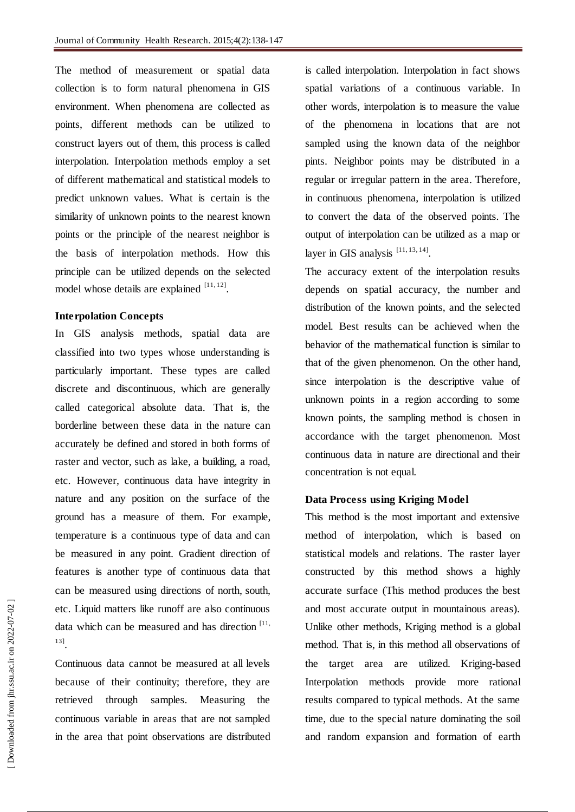The method of measurement or spatial data collection is to form natural phenomena in GIS environment. When phenomena are collected as points, different methods can be utilized to construct layers out of them, this process is called interpolation. Interpolation methods employ a set of different mathematical and statistical models to predict unknown values. What is certain is the similarity of unknown points to the nearest known points or the principle of the nearest neighbor is the basis of interpolation methods. How this principle can be utilized depends on the selected model whose details are explained  $[11, 12]$ .

#### **Interpolation Concepts**

In GIS analysis methods, spatial data are classified into two types whose understanding is particularly important. These types are called discrete and discontinuous, which are generally called categorical absolute data. That is, the borderline between these data in the nature can accurately be defined and stored in both forms of raster and vector, such as lake, a building, a road, etc. However, continuous data have integrity in nature and any position on the surface of the ground has a measure of them. For example, temperature is a continuous type of data and can be measured in any point. Gradient direction of features is another type of continuous data that can be measured using directions of north, south, etc. Liquid matters like runoff are also continuous data which can be measured and has direction [11, 13] .

Continuous data cannot be measured at all levels because of their continuity; therefore, they are retrieved through samples. Measuring the continuous variable in areas that are not sampled in the area that point observations are distributed is called interpolation. Interpolation in fact shows spatial variations of a continuous variable. In other words, interpolation is to measure the value of the phenomena in locations that are not sampled using the known data of the neighbor pints. Neighbor points may be distributed in a regular or irregular pattern in the area. Therefore, in continuous phenomena, interpolation is utilized to convert the data of the observed points. The output of interpolation can be utilized as a map or layer in GIS analysis  $[11, 13, 14]$ .

The accuracy extent of the interpolation results depends on spatial accuracy, the number and distribution of the known points, and the selected model. Best results can be achieved when the behavior of the mathematical function is similar to that of the given phenomenon. On the other hand, since interpolation is the descriptive value of unknown points in a region according to some known points, the sampling method is chosen in accordance with the target phenomenon. Most continuous data in nature are directional and their concentration is not equal.

#### **Data Process using Kriging Model**

This method is the most important and extensive method of interpolation, which is based on statistical models and relations. The raster layer constructed by this method shows a highly accurate surface (This method produces the best and most accurate output in mountainous areas). Unlike other methods, Kriging method is a global method. That is, in this method all observations of the target area are utilized. Kriging-based Interpolation methods provide more rational results compared to typical methods. At the same time, due to the special nature dominating the soil and random expansion and formation of earth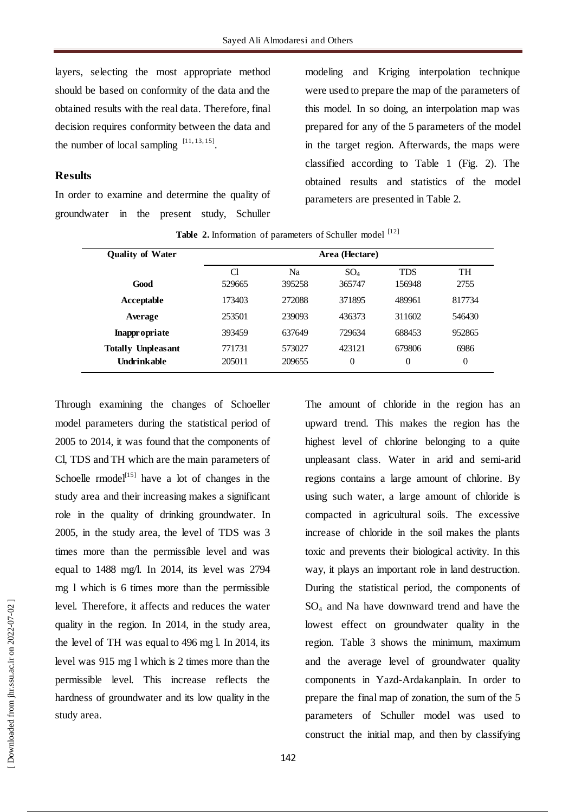layers, selecting the most appropriate method should be based on conformity of the data and the obtained results with the real data. Therefore, final decision requires conformity between the data and the number of local sampling  $[11, 13, 15]$ .

## **Results**

In order to examine and determine the quality of groundwater in the present study, Schuller modeling and Kriging interpolation technique were used to prepare the map of the parameters of this model. In so doing, an interpolation map was prepared for any of the 5 parameters of the model in the target region. Afterwards, the maps were classified according to Table 1 (Fig. 2). The obtained results and statistics of the model parameters are presented in Table 2.

| <b>Quality of Water</b>   |        |        | Area (Hectare) |            |           |
|---------------------------|--------|--------|----------------|------------|-----------|
|                           | Cl     | Na     | $SO_4$         | <b>TDS</b> | <b>TH</b> |
| Good                      | 529665 | 395258 | 365747         | 156948     | 2755      |
| Acceptable                | 173403 | 272088 | 371895         | 489961     | 817734    |
| Average                   | 253501 | 239093 | 436373         | 311602     | 546430    |
| Inappropriate             | 393459 | 637649 | 729634         | 688453     | 952865    |
| <b>Totally Unpleasant</b> | 771731 | 573027 | 423121         | 679806     | 6986      |
| Undrinkable               | 205011 | 209655 | $\theta$       | $\theta$   | 0         |

Table 2. Information of parameters of Schuller model [12]

Through examining the changes of Schoeller model parameters during the statistical period of 2005 to 2014, it was found that the components of Cl, TDS and TH which are the main parameters of Schoelle  $rmodeI<sup>[15]</sup>$  have a lot of changes in the study area and their increasing makes a significant role in the quality of drinking groundwater. In 2005, in the study area, the level of TDS was 3 times more than the permissible level and was equal to 1488 mg/l. In 2014, its level was 2794 mg l which is 6 times more than the permissible level. Therefore, it affects and reduces the water quality in the region. In 2014, in the study area, the level of TH was equal to 496 mg l. In 2014, its level was 915 mg l which is 2 times more than the permissible level. This increase reflects the hardness of groundwater and its low quality in the study area.

The amount of chloride in the region has an upward trend. This makes the region has the highest level of chlorine belonging to a quite unpleasant class. Water in arid and semi-arid regions contains a large amount of chlorine. By using such water, a large amount of chloride is compacted in agricultural soils. The excessive increase of chloride in the soil makes the plants toxic and prevents their biological activity. In this way, it plays an important role in land destruction. During the statistical period, the components of SO<sup>4</sup> and Na have downward trend and have the lowest effect on groundwater quality in the region. Table 3 shows the minimum, maximum and the average level of groundwater quality components in Yazd-Ardakanplain. In order to prepare the final map of zonation, the sum of the 5 parameters of Schuller model was used to construct the initial map, and then by classifying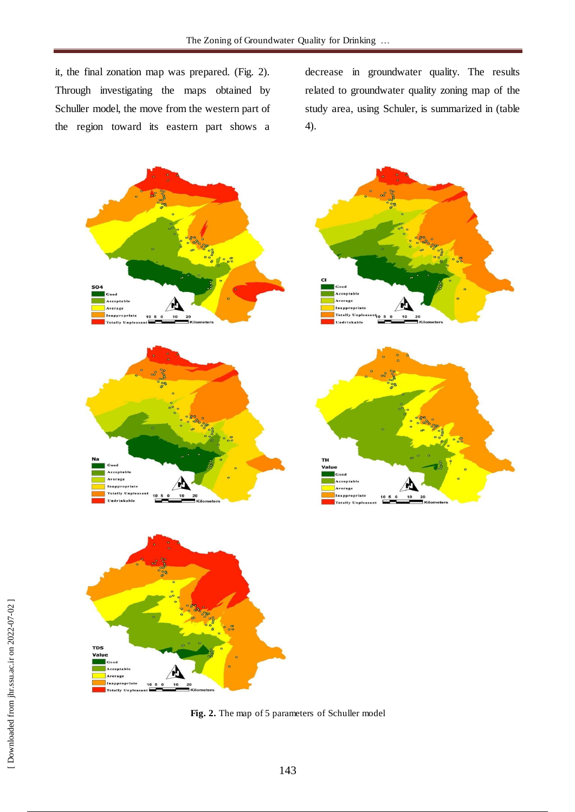it, the final zonation map was prepared. (Fig. 2). Through investigating the maps obtained by Schuller model, the move from the western part of the region toward its eastern part shows a

decrease in groundwater quality. The results related to groundwater quality zoning map of the study area, using Schuler, is summarized in (table 4).





**Fig. 2.** The map of 5 parameters of Schuller model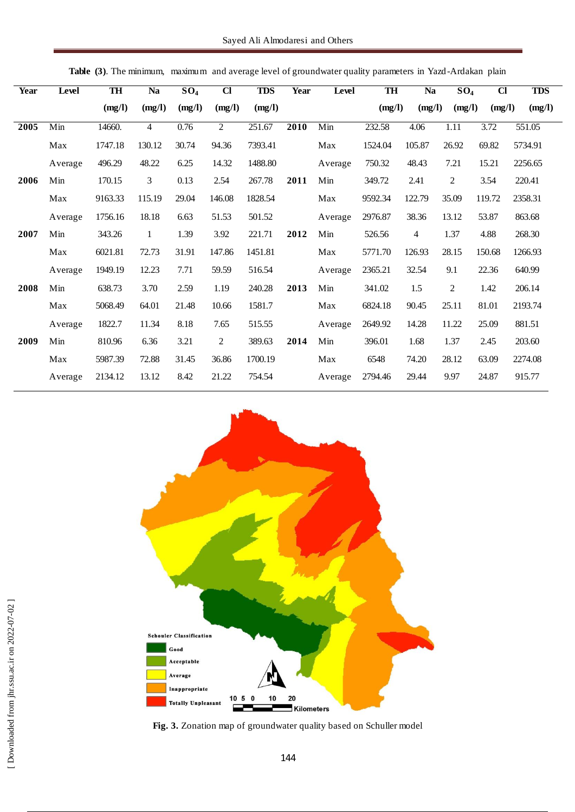| Year | Level                   | TH      | <b>Na</b>      | SO <sub>4</sub> | $\mathbf{C}$   | <b>TDS</b> | <b>Year</b> | Level   | <b>TH</b> | <b>Na</b>      | SO <sub>4</sub> | $\mathbf{C}$ | <b>TDS</b> |
|------|-------------------------|---------|----------------|-----------------|----------------|------------|-------------|---------|-----------|----------------|-----------------|--------------|------------|
|      |                         | (mg/l)  | (mg/l)         | (mg/l)          | (mg/l)         | (mg/l)     |             |         | (mg/l)    | (mg/l)         | (mg/l)          | (mg/l)       | (mg/l)     |
| 2005 | $\overline{\text{Min}}$ | 14660.  | $\overline{4}$ | 0.76            | $\overline{2}$ | 251.67     | 2010        | Min     | 232.58    | 4.06           | 1.11            | 3.72         | 551.05     |
|      | Max                     | 1747.18 | 130.12         | 30.74           | 94.36          | 7393.41    |             | Max     | 1524.04   | 105.87         | 26.92           | 69.82        | 5734.91    |
|      | Average                 | 496.29  | 48.22          | 6.25            | 14.32          | 1488.80    |             | Average | 750.32    | 48.43          | 7.21            | 15.21        | 2256.65    |
| 2006 | Min                     | 170.15  | $\mathfrak{Z}$ | 0.13            | 2.54           | 267.78     | 2011        | Min     | 349.72    | 2.41           | $\overline{2}$  | 3.54         | 220.41     |
|      | Max                     | 9163.33 | 115.19         | 29.04           | 146.08         | 1828.54    |             | Max     | 9592.34   | 122.79         | 35.09           | 119.72       | 2358.31    |
|      | Average                 | 1756.16 | 18.18          | 6.63            | 51.53          | 501.52     |             | Average | 2976.87   | 38.36          | 13.12           | 53.87        | 863.68     |
| 2007 | Min                     | 343.26  | $\mathbf{1}$   | 1.39            | 3.92           | 221.71     | 2012        | Min     | 526.56    | $\overline{4}$ | 1.37            | 4.88         | 268.30     |
|      | Max                     | 6021.81 | 72.73          | 31.91           | 147.86         | 1451.81    |             | Max     | 5771.70   | 126.93         | 28.15           | 150.68       | 1266.93    |
|      | Average                 | 1949.19 | 12.23          | 7.71            | 59.59          | 516.54     |             | Average | 2365.21   | 32.54          | 9.1             | 22.36        | 640.99     |
| 2008 | Min                     | 638.73  | 3.70           | 2.59            | 1.19           | 240.28     | 2013        | Min     | 341.02    | 1.5            | $\overline{2}$  | 1.42         | 206.14     |
|      | Max                     | 5068.49 | 64.01          | 21.48           | 10.66          | 1581.7     |             | Max     | 6824.18   | 90.45          | 25.11           | 81.01        | 2193.74    |
|      | Average                 | 1822.7  | 11.34          | 8.18            | 7.65           | 515.55     |             | Average | 2649.92   | 14.28          | 11.22           | 25.09        | 881.51     |
| 2009 | Min                     | 810.96  | 6.36           | 3.21            | 2              | 389.63     | 2014        | Min     | 396.01    | 1.68           | 1.37            | 2.45         | 203.60     |
|      | Max                     | 5987.39 | 72.88          | 31.45           | 36.86          | 1700.19    |             | Max     | 6548      | 74.20          | 28.12           | 63.09        | 2274.08    |
|      | Average                 | 2134.12 | 13.12          | 8.42            | 21.22          | 754.54     |             | Average | 2794.46   | 29.44          | 9.97            | 24.87        | 915.77     |



**Table (3)**. The minimum, maximum and average level of groundwater quality parameters in Yazd -Ardakan plain

**Fig. 3.** Zonation map of groundwater quality based on Schuller model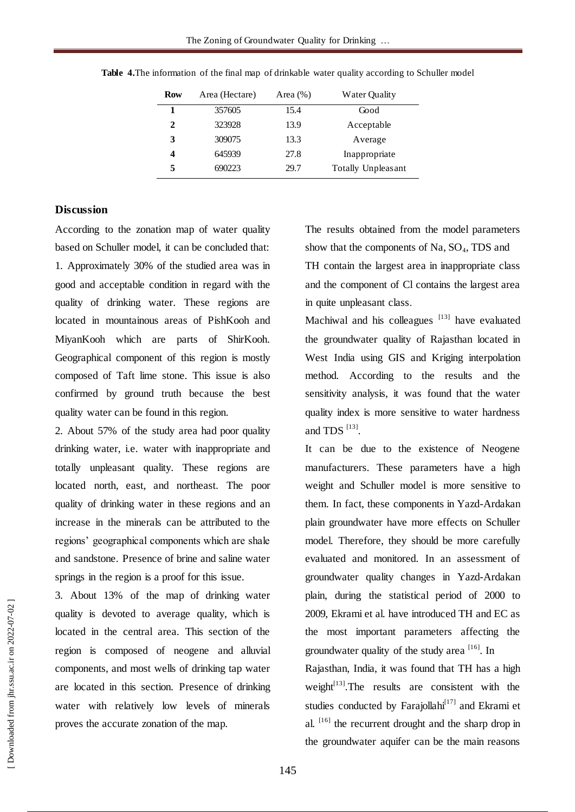| <b>Row</b> | Area (Hectare) | Area $(\%)$ | Water Quality      |
|------------|----------------|-------------|--------------------|
|            | 357605         | 15.4        | Good               |
| 2          | 323928         | 13.9        | Acceptable         |
| 3          | 309075         | 13.3        | Average            |
| 4          | 645939         | 27.8        | Inappropriate      |
| 5          | 690223         | 29.7        | Totally Unpleasant |

**Table 4.**The information of the final map of drinkable water quality according to Schuller model

## **Discussion**

According to the zonation map of water quality based on Schuller model, it can be concluded that: 1. Approximately 30% of the studied area was in good and acceptable condition in regard with the quality of drinking water. These regions are located in mountainous areas of PishKooh and MiyanKooh which are parts of ShirKooh. Geographical component of this region is mostly composed of Taft lime stone. This issue is also confirmed by ground truth because the best quality water can be found in this region.

2. About 57% of the study area had poor quality drinking water, i.e. water with inappropriate and totally unpleasant quality. These regions are located north, east, and northeast. The poor quality of drinking water in these regions and an increase in the minerals can be attributed to the regions' geographical components which are shale and sandstone. Presence of brine and saline water springs in the region is a proof for this issue.

3. About 13% of the map of drinking water quality is devoted to average quality, which is located in the central area. This section of the region is composed of neogene and alluvial components, and most wells of drinking tap water are located in this section. Presence of drinking water with relatively low levels of minerals proves the accurate zonation of the map.

The results obtained from the model parameters show that the components of Na,  $SO_4$ , TDS and TH contain the largest area in inappropriate class and the component of Cl contains the largest area in quite unpleasant class.

Machiwal and his colleagues [13] have evaluated the groundwater quality of Rajasthan located in West India using GIS and Kriging interpolation method. According to the results and the sensitivity analysis, it was found that the water quality index is more sensitive to water hardness and TDS  $^{[13]}$ .

It can be due to the existence of Neogene manufacturers. These parameters have a high weight and Schuller model is more sensitive to them. In fact, these components in Yazd-Ardakan plain groundwater have more effects on Schuller model. Therefore, they should be more carefully evaluated and monitored. In an assessment of groundwater quality changes in Yazd-Ardakan plain, during the statistical period of 2000 to 2009, Ekrami et al. have introduced TH and EC as the most important parameters affecting the groundwater quality of the study area [16]. In

Rajasthan, India, it was found that TH has a high weight $[13]$ . The results are consistent with the studies conducted by Farajollahi $[17]$  and Ekrami et al.  $[16]$  the recurrent drought and the sharp drop in the groundwater aquifer can be the main reasons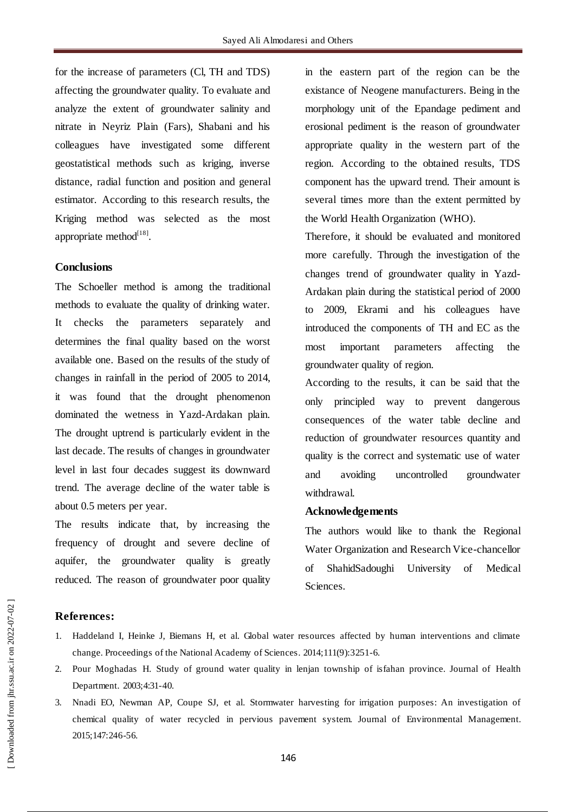for the increase of parameters (Cl, TH and TDS) affecting the groundwater quality. To evaluate and analyze the extent of groundwater salinity and nitrate in Neyriz Plain (Fars), Shabani and his colleagues have investigated some different geostatistical methods such as kriging, inverse distance, radial function and position and general estimator. According to this research results, the Kriging method was selected as the most appropriate method $^{[18]}$ .

### **Conclusions**

The Schoeller method is among the traditional methods to evaluate the quality of drinking water. It checks the parameters separately and determines the final quality based on the worst available one. Based on the results of the study of changes in rainfall in the period of 2005 to 2014, it was found that the drought phenomenon dominated the wetness in Yazd-Ardakan plain. The drought uptrend is particularly evident in the last decade. The results of changes in groundwater level in last four decades suggest its downward trend. The average decline of the water table is about 0.5 meters per year.

The results indicate that, by increasing the frequency of drought and severe decline of aquifer, the groundwater quality is greatly reduced. The reason of groundwater poor quality

in the eastern part of the region can be the existance of Neogene manufacturers. Being in the morphology unit of the Epandage pediment and erosional pediment is the reason of groundwater appropriate quality in the western part of the region. According to the obtained results, TDS component has the upward trend. Their amount is several times more than the extent permitted by the World Health Organization (WHO).

Therefore, it should be evaluated and monitored more carefully. Through the investigation of the changes trend of groundwater quality in Yazd-Ardakan plain during the statistical period of 2000 to 2009, Ekrami and his colleagues have introduced the components of TH and EC as the most important parameters affecting the groundwater quality of region.

According to the results, it can be said that the only principled way to prevent dangerous consequences of the water table decline and reduction of groundwater resources quantity and quality is the correct and systematic use of water and avoiding uncontrolled groundwater withdrawal.

## **Acknowledgements**

The authors would like to thank the Regional Water Organization and Research Vice-chancellor of ShahidSadoughi University of Medical Sciences.

#### **References:**

- 1. Haddeland I, Heinke J, Biemans H, et al. Global water resources affected by human interventions and climate change. Proceedings of the National Academy of Sciences. 2014;111(9):3251-6.
- 2. Pour Moghadas H. Study of ground water quality in lenjan township of isfahan province. Journal of Health Department. 2003;4:31-40.
- 3. Nnadi EO, Newman AP, Coupe SJ, et al. Stormwater harvesting for irrigation purposes: An investigation of chemical quality of water recycled in pervious pavement system. Journal of Environmental Management. 2015;147:246-56.